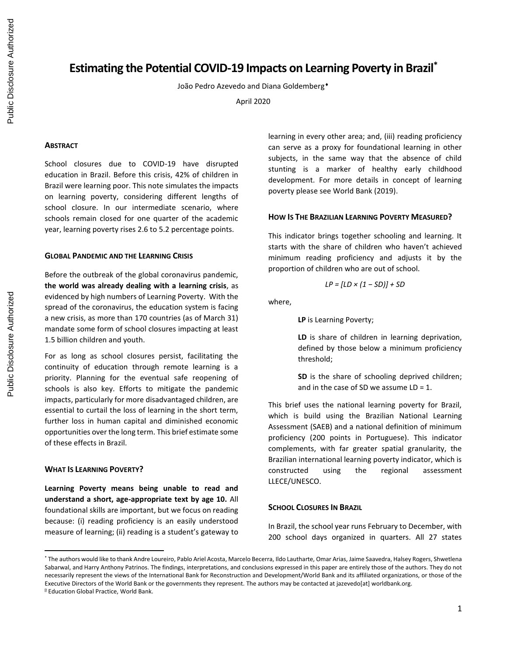# **Estimating the Potential COVID-19 Impacts on Learning Poverty in Brazil\***

João Pedro Azevedo and Diana Goldemberg

April 2020

## **ABSTRACT**

School closures due to COVID-19 have disrupted education in Brazil. Before this crisis, 42% of children in Brazil were learning poor. This note simulates the impacts on learning poverty, considering different lengths of school closure. In our intermediate scenario, where schools remain closed for one quarter of the academic year, learning poverty rises 2.6 to 5.2 percentage points.

## **GLOBAL PANDEMIC AND THE LEARNING CRISIS**

Before the outbreak of the global coronavirus pandemic, **the world was already dealing with a learning crisis**, as evidenced by high numbers of Learning Poverty. With the spread of the coronavirus, the education system is facing a new crisis, as more than 170 countries (as of March 31) mandate some form of school closures impacting at least 1.5 billion children and youth.

For as long as school closures persist, facilitating the continuity of education through remote learning is a priority. Planning for the eventual safe reopening of schools is also key. Efforts to mitigate the pandemic impacts, particularly for more disadvantaged children, are essential to curtail the loss of learning in the short term, further loss in human capital and diminished economic opportunities over the long term. This brief estimate some of these effects in Brazil.

## **WHAT IS LEARNING POVERTY?**

**Learning Poverty means being unable to read and understand a short, age-appropriate text by age 10.** All foundational skills are important, but we focus on reading because: (i) reading proficiency is an easily understood measure of learning; (ii) reading is a student's gateway to learning in every other area; and, (iii) reading proficiency can serve as a proxy for foundational learning in other subjects, in the same way that the absence of child stunting is a marker of healthy early childhood development. For more details in concept of learning poverty please see World Bank (2019).

## **HOW IS THE BRAZILIAN LEARNING POVERTY MEASURED?**

This indicator brings together schooling and learning. It starts with the share of children who haven't achieved minimum reading proficiency and adjusts it by the proportion of children who are out of school.

$$
LP = [LD \times (1 - SD)] + SD
$$

where,

**LP** is Learning Poverty;

**LD** is share of children in learning deprivation, defined by those below a minimum proficiency threshold;

**SD** is the share of schooling deprived children; and in the case of SD we assume  $LD = 1$ .

This brief uses the national learning poverty for Brazil, which is build using the Brazilian National Learning Assessment (SAEB) and a national definition of minimum proficiency (200 points in Portuguese). This indicator complements, with far greater spatial granularity, the Brazilian international learning poverty indicator, which is constructed using the regional assessment LLECE/UNESCO.

#### **SCHOOL CLOSURES IN BRAZIL**

In Brazil, the school year runs February to December, with 200 school days organized in quarters. All 27 states

<sup>\*</sup> The authors would like to thank Andre Loureiro, Pablo Ariel Acosta, Marcelo Becerra, Ildo Lautharte, Omar Arias, Jaime Saavedra, Halsey Rogers, Shwetlena Sabarwal, and Harry Anthony Patrinos. The findings, interpretations, and conclusions expressed in this paper are entirely those of the authors. They do not necessarily represent the views of the International Bank for Reconstruction and Development/World Bank and its affiliated organizations, or those of the Executive Directors of the World Bank or the governments they represent. The authors may be contacted at jazevedo[at] worldbank.org.

<sup>&</sup>lt;sup>2</sup> Education Global Practice, World Bank.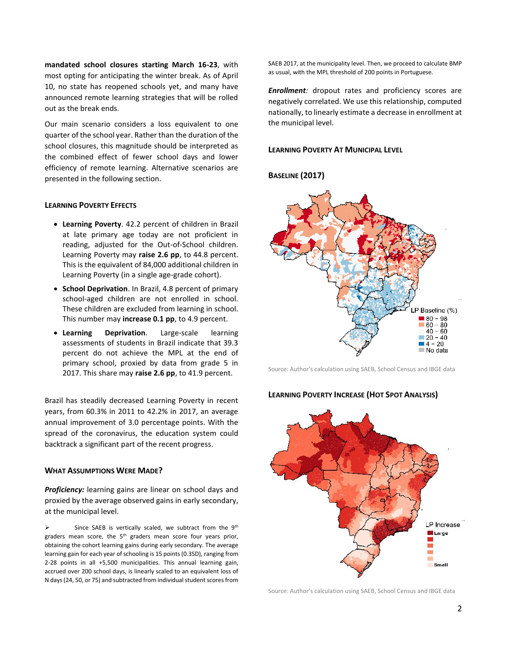**mandated school closures starting March 16-23**, with most opting for anticipating the winter break. As of April 10, no state has reopened schools yet, and many have announced remote learning strategies that will be rolled out as the break ends.

Our main scenario considers a loss equivalent to one quarter of the school year. Rather than the duration of the school closures, this magnitude should be interpreted as the combined effect of fewer school days and lower efficiency of remote learning. Alternative scenarios are presented in the following section.

## **LEARNING POVERTY EFFECTS**

- **Learning Poverty**. 42.2 percent of children in Brazil at late primary age today are not proficient in reading, adjusted for the Out-of-School children. Learning Poverty may **raise 2.6 pp**, to 44.8 percent. This is the equivalent of 84,000 additional children in Learning Poverty (in a single age-grade cohort).
- **School Deprivation**. In Brazil, 4.8 percent of primary school-aged children are not enrolled in school. These children are excluded from learning in school. This number may **increase 0.1 pp**, to 4.9 percent.
- **Learning Deprivation**. Large-scale learning assessments of students in Brazil indicate that 39.3 percent do not achieve the MPL at the end of primary school, proxied by data from grade 5 in 2017. This share may **raise 2.6 pp**, to 41.9 percent.

Brazil has steadily decreased Learning Poverty in recent years, from 60.3% in 2011 to 42.2% in 2017, an average annual improvement of 3.0 percentage points. With the spread of the coronavirus, the education system could backtrack a significant part of the recent progress.

## **WHAT ASSUMPTIONS WERE MADE?**

*Proficiency:* learning gains are linear on school days and proxied by the average observed gains in early secondary, at the municipal level.

➢ Since SAEB is vertically scaled, we subtract from the 9th graders mean score, the  $5<sup>th</sup>$  graders mean score four years prior, obtaining the cohort learning gains during early secondary. The average learning gain for each year of schooling is 15 points (0.3SD), ranging from 2-28 points in all +5,500 municipalities. This annual learning gain, accrued over 200 school days, is linearly scaled to an equivalent loss of N days (24, 50, or 75) and subtracted from individual student scores from SAEB 2017, at the municipality level. Then, we proceed to calculate BMP as usual, with the MPL threshold of 200 points in Portuguese.

*Enrollment:* dropout rates and proficiency scores are negatively correlated. We use this relationship, computed nationally, to linearly estimate a decrease in enrollment at the municipal level.

# **LEARNING POVERTY AT MUNICIPAL LEVEL**

**BASELINE (2017)**



Source: Author's calculation using SAEB, School Census and IBGE data

## **LEARNING POVERTY INCREASE (HOT SPOT ANALYSIS)**



Source: Author's calculation using SAEB, School Census and IBGE data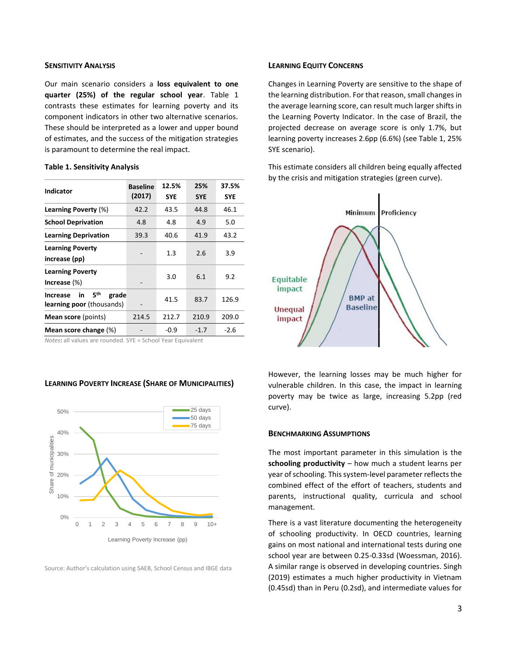## **SENSITIVITY ANALYSIS**

Our main scenario considers a **loss equivalent to one quarter (25%) of the regular school year**. Table 1 contrasts these estimates for learning poverty and its component indicators in other two alternative scenarios. These should be interpreted as a lower and upper bound of estimates, and the success of the mitigation strategies is paramount to determine the real impact.

## **Table 1. Sensitivity Analysis**

| <b>Indicator</b>                                                   | <b>Baseline</b><br>(2017) | 12.5%<br><b>SYE</b> | 25%<br><b>SYE</b> | 37.5%<br><b>SYE</b> |
|--------------------------------------------------------------------|---------------------------|---------------------|-------------------|---------------------|
| Learning Poverty (%)                                               | 42.2                      | 43.5                | 44.8              | 46.1                |
| <b>School Deprivation</b>                                          | 4.8                       | 4.8                 | 4.9               | 5.0                 |
| <b>Learning Deprivation</b>                                        | 39.3                      | 40.6                | 41.9              | 43.2                |
| <b>Learning Poverty</b><br>increase (pp)                           |                           | 1.3                 | 2.6               | 3.9                 |
| <b>Learning Poverty</b><br>Increase $(\%)$                         |                           | 3.0                 | 6.1               | 9.2                 |
| 5th<br>grade<br>in<br><b>Increase</b><br>learning poor (thousands) |                           | 41.5                | 83.7              | 126.9               |
| <b>Mean score</b> (points)                                         | 214.5                     | 212.7               | 210.9             | 209.0               |
| Mean score change (%)                                              |                           | -0.9                | $-1.7$            | $-2.6$              |

*Notes*: all values are rounded. SYE = School Year Equivalent

## **LEARNING POVERTY INCREASE (SHARE OF MUNICIPALITIES)**



Source: Author's calculation using SAEB, School Census and IBGE data

## **LEARNING EQUITY CONCERNS**

Changes in Learning Poverty are sensitive to the shape of the learning distribution. For that reason, small changes in the average learning score, can result much larger shifts in the Learning Poverty Indicator. In the case of Brazil, the projected decrease on average score is only 1.7%, but learning poverty increases 2.6pp (6.6%) (see Table 1, 25% SYE scenario).

This estimate considers all children being equally affected by the crisis and mitigation strategies (green curve).



However, the learning losses may be much higher for vulnerable children. In this case, the impact in learning poverty may be twice as large, increasing 5.2pp (red curve).

## **BENCHMARKING ASSUMPTIONS**

The most important parameter in this simulation is the **schooling productivity** – how much a student learns per year of schooling. This system-level parameter reflects the combined effect of the effort of teachers, students and parents, instructional quality, curricula and school management.

There is a vast literature documenting the heterogeneity of schooling productivity. In OECD countries, learning gains on most national and international tests during one school year are between 0.25-0.33sd (Woessman, 2016). A similar range is observed in developing countries. Singh (2019) estimates a much higher productivity in Vietnam (0.45sd) than in Peru (0.2sd), and intermediate values for